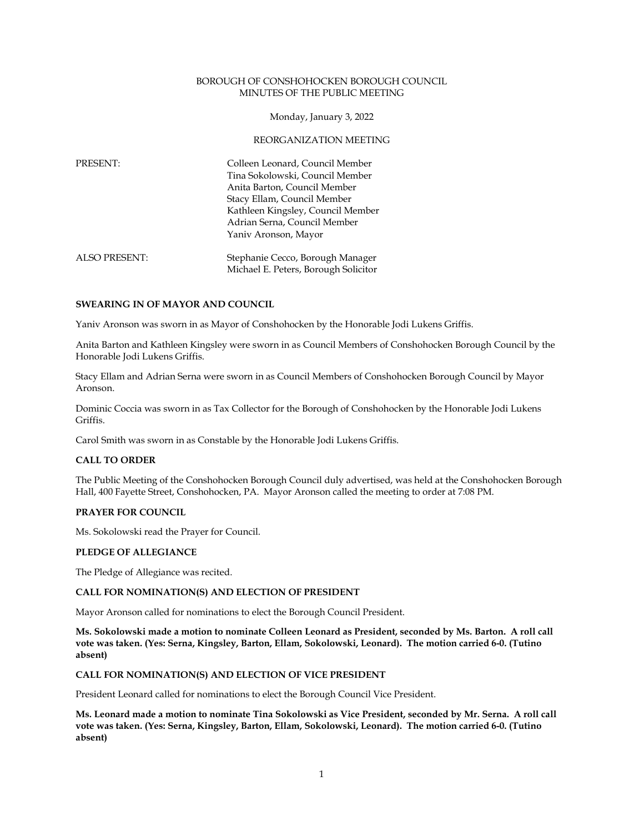#### BOROUGH OF CONSHOHOCKEN BOROUGH COUNCIL MINUTES OF THE PUBLIC MEETING

Monday, January 3, 2022

#### REORGANIZATION MEETING

| PRESENT:             | Colleen Leonard, Council Member<br>Tina Sokolowski, Council Member<br>Anita Barton, Council Member<br>Stacy Ellam, Council Member<br>Kathleen Kingsley, Council Member<br>Adrian Serna, Council Member<br>Yaniv Aronson, Mayor |
|----------------------|--------------------------------------------------------------------------------------------------------------------------------------------------------------------------------------------------------------------------------|
| <b>ALSO PRESENT:</b> | Stephanie Cecco, Borough Manager                                                                                                                                                                                               |

#### **SWEARING IN OF MAYOR AND COUNCIL**

Yaniv Aronson was sworn in as Mayor of Conshohocken by the Honorable Jodi Lukens Griffis.

Anita Barton and Kathleen Kingsley were sworn in as Council Members of Conshohocken Borough Council by the Honorable Jodi Lukens Griffis.

Michael E. Peters, Borough Solicitor

Stacy Ellam and Adrian Serna were sworn in as Council Members of Conshohocken Borough Council by Mayor Aronson.

Dominic Coccia was sworn in as Tax Collector for the Borough of Conshohocken by the Honorable Jodi Lukens Griffis.

Carol Smith was sworn in as Constable by the Honorable Jodi Lukens Griffis.

# **CALL TO ORDER**

The Public Meeting of the Conshohocken Borough Council duly advertised, was held at the Conshohocken Borough Hall, 400 Fayette Street, Conshohocken, PA. Mayor Aronson called the meeting to order at 7:08 PM.

# **PRAYER FOR COUNCIL**

Ms. Sokolowski read the Prayer for Council.

#### **PLEDGE OF ALLEGIANCE**

The Pledge of Allegiance was recited.

# **CALL FOR NOMINATION(S) AND ELECTION OF PRESIDENT**

Mayor Aronson called for nominations to elect the Borough Council President.

**Ms. Sokolowski made a motion to nominate Colleen Leonard as President, seconded by Ms. Barton. A roll call vote was taken. (Yes: Serna, Kingsley, Barton, Ellam, Sokolowski, Leonard). The motion carried 6-0. (Tutino absent)**

# **CALL FOR NOMINATION(S) AND ELECTION OF VICE PRESIDENT**

President Leonard called for nominations to elect the Borough Council Vice President.

**Ms. Leonard made a motion to nominate Tina Sokolowski as Vice President, seconded by Mr. Serna. A roll call vote was taken. (Yes: Serna, Kingsley, Barton, Ellam, Sokolowski, Leonard). The motion carried 6-0. (Tutino absent)**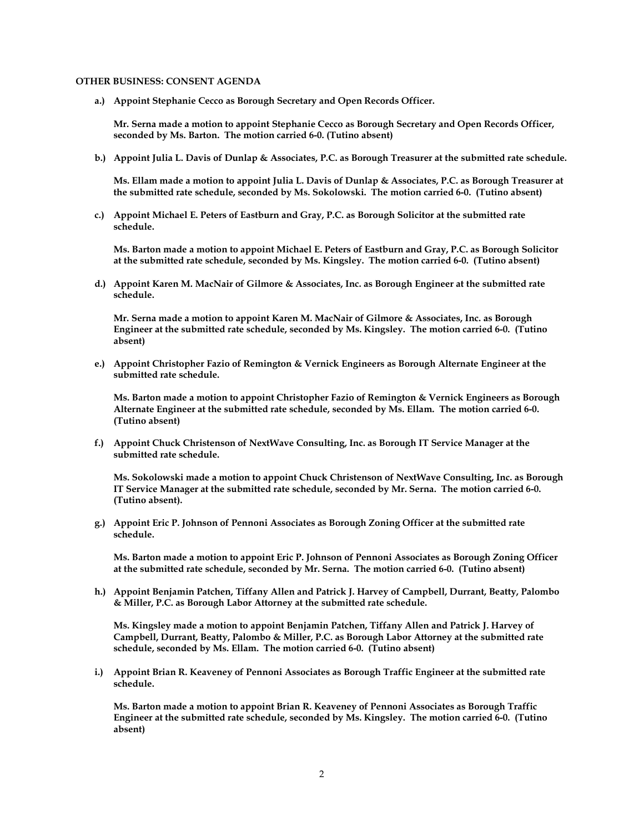#### **OTHER BUSINESS: CONSENT AGENDA**

**a.) Appoint Stephanie Cecco as Borough Secretary and Open Records Officer.** 

**Mr. Serna made a motion to appoint Stephanie Cecco as Borough Secretary and Open Records Officer, seconded by Ms. Barton. The motion carried 6-0. (Tutino absent)**

**b.) Appoint Julia L. Davis of Dunlap & Associates, P.C. as Borough Treasurer at the submitted rate schedule.** 

**Ms. Ellam made a motion to appoint Julia L. Davis of Dunlap & Associates, P.C. as Borough Treasurer at the submitted rate schedule, seconded by Ms. Sokolowski. The motion carried 6-0. (Tutino absent)**

**c.) Appoint Michael E. Peters of Eastburn and Gray, P.C. as Borough Solicitor at the submitted rate schedule.** 

**Ms. Barton made a motion to appoint Michael E. Peters of Eastburn and Gray, P.C. as Borough Solicitor at the submitted rate schedule, seconded by Ms. Kingsley. The motion carried 6-0. (Tutino absent)**

**d.) Appoint Karen M. MacNair of Gilmore & Associates, Inc. as Borough Engineer at the submitted rate schedule.** 

**Mr. Serna made a motion to appoint Karen M. MacNair of Gilmore & Associates, Inc. as Borough Engineer at the submitted rate schedule, seconded by Ms. Kingsley. The motion carried 6-0. (Tutino absent)**

**e.) Appoint Christopher Fazio of Remington & Vernick Engineers as Borough Alternate Engineer at the submitted rate schedule.** 

**Ms. Barton made a motion to appoint Christopher Fazio of Remington & Vernick Engineers as Borough Alternate Engineer at the submitted rate schedule, seconded by Ms. Ellam. The motion carried 6-0. (Tutino absent)**

**f.) Appoint Chuck Christenson of NextWave Consulting, Inc. as Borough IT Service Manager at the submitted rate schedule.**

**Ms. Sokolowski made a motion to appoint Chuck Christenson of NextWave Consulting, Inc. as Borough IT Service Manager at the submitted rate schedule, seconded by Mr. Serna. The motion carried 6-0. (Tutino absent).** 

**g.) Appoint Eric P. Johnson of Pennoni Associates as Borough Zoning Officer at the submitted rate schedule.**

**Ms. Barton made a motion to appoint Eric P. Johnson of Pennoni Associates as Borough Zoning Officer at the submitted rate schedule, seconded by Mr. Serna. The motion carried 6-0. (Tutino absent)**

**h.) Appoint Benjamin Patchen, Tiffany Allen and Patrick J. Harvey of Campbell, Durrant, Beatty, Palombo & Miller, P.C. as Borough Labor Attorney at the submitted rate schedule.** 

**Ms. Kingsley made a motion to appoint Benjamin Patchen, Tiffany Allen and Patrick J. Harvey of Campbell, Durrant, Beatty, Palombo & Miller, P.C. as Borough Labor Attorney at the submitted rate schedule, seconded by Ms. Ellam. The motion carried 6-0. (Tutino absent)**

**i.) Appoint Brian R. Keaveney of Pennoni Associates as Borough Traffic Engineer at the submitted rate schedule.** 

**Ms. Barton made a motion to appoint Brian R. Keaveney of Pennoni Associates as Borough Traffic Engineer at the submitted rate schedule, seconded by Ms. Kingsley. The motion carried 6-0. (Tutino absent)**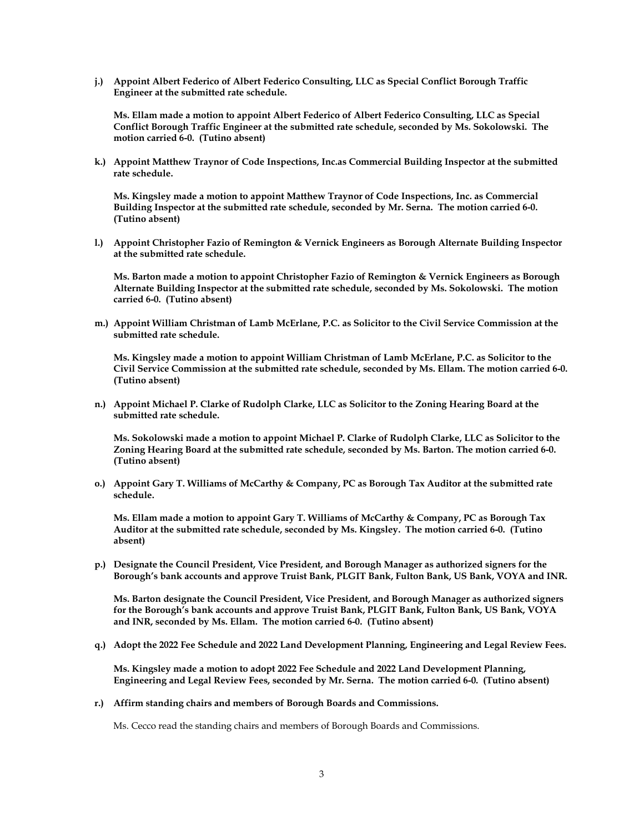**j.) Appoint Albert Federico of Albert Federico Consulting, LLC as Special Conflict Borough Traffic Engineer at the submitted rate schedule.** 

**Ms. Ellam made a motion to appoint Albert Federico of Albert Federico Consulting, LLC as Special Conflict Borough Traffic Engineer at the submitted rate schedule, seconded by Ms. Sokolowski. The motion carried 6-0. (Tutino absent)**

**k.) Appoint Matthew Traynor of Code Inspections, Inc.as Commercial Building Inspector at the submitted rate schedule.** 

**Ms. Kingsley made a motion to appoint Matthew Traynor of Code Inspections, Inc. as Commercial Building Inspector at the submitted rate schedule, seconded by Mr. Serna. The motion carried 6-0. (Tutino absent)**

**l.) Appoint Christopher Fazio of Remington & Vernick Engineers as Borough Alternate Building Inspector at the submitted rate schedule.** 

**Ms. Barton made a motion to appoint Christopher Fazio of Remington & Vernick Engineers as Borough Alternate Building Inspector at the submitted rate schedule, seconded by Ms. Sokolowski. The motion carried 6-0. (Tutino absent)**

**m.) Appoint William Christman of Lamb McErlane, P.C. as Solicitor to the Civil Service Commission at the submitted rate schedule.** 

**Ms. Kingsley made a motion to appoint William Christman of Lamb McErlane, P.C. as Solicitor to the Civil Service Commission at the submitted rate schedule, seconded by Ms. Ellam. The motion carried 6-0. (Tutino absent)**

**n.) Appoint Michael P. Clarke of Rudolph Clarke, LLC as Solicitor to the Zoning Hearing Board at the submitted rate schedule.** 

**Ms. Sokolowski made a motion to appoint Michael P. Clarke of Rudolph Clarke, LLC as Solicitor to the Zoning Hearing Board at the submitted rate schedule, seconded by Ms. Barton. The motion carried 6-0. (Tutino absent)**

**o.) Appoint Gary T. Williams of McCarthy & Company, PC as Borough Tax Auditor at the submitted rate schedule.** 

**Ms. Ellam made a motion to appoint Gary T. Williams of McCarthy & Company, PC as Borough Tax Auditor at the submitted rate schedule, seconded by Ms. Kingsley. The motion carried 6-0. (Tutino absent)**

**p.) Designate the Council President, Vice President, and Borough Manager as authorized signers for the Borough's bank accounts and approve Truist Bank, PLGIT Bank, Fulton Bank, US Bank, VOYA and INR.**

**Ms. Barton designate the Council President, Vice President, and Borough Manager as authorized signers for the Borough's bank accounts and approve Truist Bank, PLGIT Bank, Fulton Bank, US Bank, VOYA and INR, seconded by Ms. Ellam. The motion carried 6-0. (Tutino absent)**

**q.) Adopt the 2022 Fee Schedule and 2022 Land Development Planning, Engineering and Legal Review Fees.** 

**Ms. Kingsley made a motion to adopt 2022 Fee Schedule and 2022 Land Development Planning, Engineering and Legal Review Fees, seconded by Mr. Serna. The motion carried 6-0. (Tutino absent)**

**r.) Affirm standing chairs and members of Borough Boards and Commissions.**

Ms. Cecco read the standing chairs and members of Borough Boards and Commissions.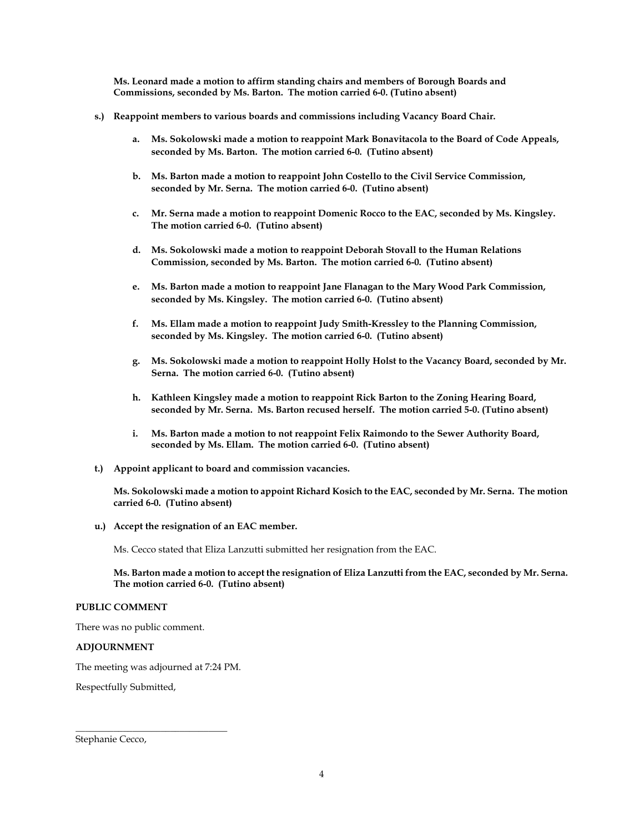**Ms. Leonard made a motion to affirm standing chairs and members of Borough Boards and Commissions, seconded by Ms. Barton. The motion carried 6-0. (Tutino absent)**

- **s.) Reappoint members to various boards and commissions including Vacancy Board Chair.**
	- **a. Ms. Sokolowski made a motion to reappoint Mark Bonavitacola to the Board of Code Appeals, seconded by Ms. Barton. The motion carried 6-0. (Tutino absent)**
	- **b. Ms. Barton made a motion to reappoint John Costello to the Civil Service Commission, seconded by Mr. Serna. The motion carried 6-0. (Tutino absent)**
	- **c. Mr. Serna made a motion to reappoint Domenic Rocco to the EAC, seconded by Ms. Kingsley. The motion carried 6-0. (Tutino absent)**
	- **d. Ms. Sokolowski made a motion to reappoint Deborah Stovall to the Human Relations Commission, seconded by Ms. Barton. The motion carried 6-0. (Tutino absent)**
	- **e. Ms. Barton made a motion to reappoint Jane Flanagan to the Mary Wood Park Commission, seconded by Ms. Kingsley. The motion carried 6-0. (Tutino absent)**
	- **f. Ms. Ellam made a motion to reappoint Judy Smith-Kressley to the Planning Commission, seconded by Ms. Kingsley. The motion carried 6-0. (Tutino absent)**
	- **g. Ms. Sokolowski made a motion to reappoint Holly Holst to the Vacancy Board, seconded by Mr. Serna. The motion carried 6-0. (Tutino absent)**
	- **h. Kathleen Kingsley made a motion to reappoint Rick Barton to the Zoning Hearing Board, seconded by Mr. Serna. Ms. Barton recused herself. The motion carried 5-0. (Tutino absent)**
	- **i. Ms. Barton made a motion to not reappoint Felix Raimondo to the Sewer Authority Board, seconded by Ms. Ellam. The motion carried 6-0. (Tutino absent)**
- **t.) Appoint applicant to board and commission vacancies.**

**Ms. Sokolowski made a motion to appoint Richard Kosich to the EAC, seconded by Mr. Serna. The motion carried 6-0. (Tutino absent)**

**u.) Accept the resignation of an EAC member.** 

Ms. Cecco stated that Eliza Lanzutti submitted her resignation from the EAC.

# **Ms. Barton made a motion to accept the resignation of Eliza Lanzutti from the EAC, seconded by Mr. Serna. The motion carried 6-0. (Tutino absent)**

# **PUBLIC COMMENT**

There was no public comment.

# **ADJOURNMENT**

The meeting was adjourned at 7:24 PM.

\_\_\_\_\_\_\_\_\_\_\_\_\_\_\_\_\_\_\_\_\_\_\_\_\_\_\_\_\_\_\_\_

Respectfully Submitted,

Stephanie Cecco,